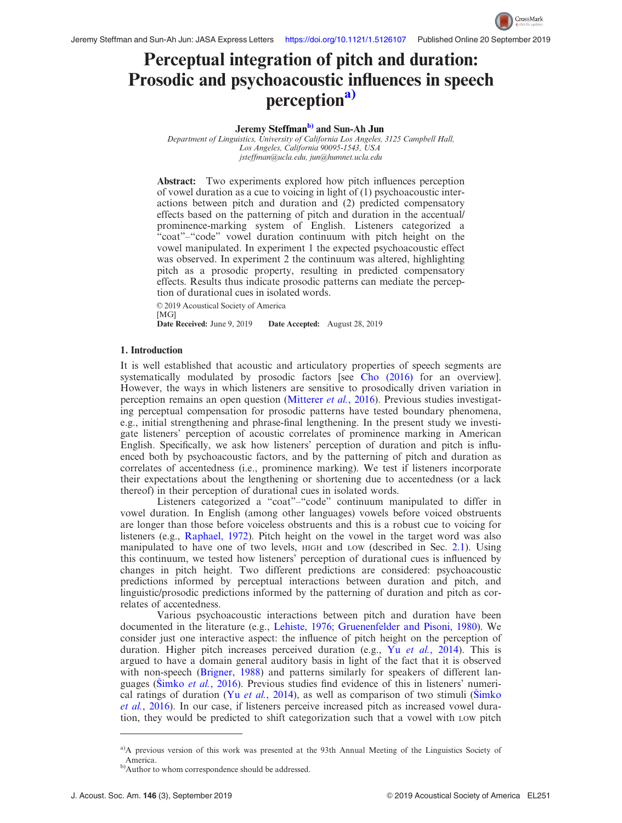# Perceptual integration of pitch and duration: Prosodic and psychoacoustic influences in speech perception<sup>a)</sup>

# Jeremy Steffman<sup>b)</sup> and Sun-Ah Jun

Department of Linguistics, University of California Los Angeles, 3125 Campbell Hall, Los Angeles, California 90095-1543, USA [jsteffman@ucla.edu,](mailto:jsteffman@ucla.edu) [jun@humnet.ucla.edu](mailto:jun@humnet.ucla.edu)

Abstract: Two experiments explored how pitch influences perception of vowel duration as a cue to voicing in light of (1) psychoacoustic interactions between pitch and duration and (2) predicted compensatory effects based on the patterning of pitch and duration in the accentual/ prominence-marking system of English. Listeners categorized a "coat"–"code" vowel duration continuum with pitch height on the vowel manipulated. In experiment 1 the expected psychoacoustic effect was observed. In experiment 2 the continuum was altered, highlighting pitch as a prosodic property, resulting in predicted compensatory effects. Results thus indicate prosodic patterns can mediate the perception of durational cues in isolated words.

© 2019 Acoustical Society of America [MG]

Date Received: June 9, 2019 Date Accepted: August 28, 2019

## 1. Introduction

It is well established that acoustic and articulatory properties of speech segments are systematically modulated by prosodic factors [see [Cho \(2016\)](#page-6-0) for an overview]. However, the ways in which listeners are sensitive to prosodically driven variation in perception remains an open question ([Mitterer](#page-6-0) *et al.*, 2016). Previous studies investigating perceptual compensation for prosodic patterns have tested boundary phenomena, e.g., initial strengthening and phrase-final lengthening. In the present study we investigate listeners' perception of acoustic correlates of prominence marking in American English. Specifically, we ask how listeners' perception of duration and pitch is influenced both by psychoacoustic factors, and by the patterning of pitch and duration as correlates of accentedness (i.e., prominence marking). We test if listeners incorporate their expectations about the lengthening or shortening due to accentedness (or a lack thereof) in their perception of durational cues in isolated words.

Listeners categorized a "coat"–"code" continuum manipulated to differ in vowel duration. In English (among other languages) vowels before voiced obstruents are longer than those before voiceless obstruents and this is a robust cue to voicing for listeners (e.g., [Raphael, 1972](#page-6-0)). Pitch height on the vowel in the target word was also manipulated to have one of two levels, HIGH and LOW (described in Sec. [2.1\)](#page-1-0). Using this continuum, we tested how listeners' perception of durational cues is influenced by changes in pitch height. Two different predictions are considered: psychoacoustic predictions informed by perceptual interactions between duration and pitch, and linguistic/prosodic predictions informed by the patterning of duration and pitch as correlates of accentedness.

Various psychoacoustic interactions between pitch and duration have been documented in the literature (e.g., [Lehiste, 1976](#page-6-0); [Gruenenfelder and Pisoni, 1980\)](#page-6-0). We consider just one interactive aspect: the influence of pitch height on the perception of duration. Higher pitch increases perceived duration (e.g., Yu et al.[, 2014\)](#page-6-0). This is argued to have a domain general auditory basis in light of the fact that it is observed with non-speech [\(Brigner, 1988](#page-6-0)) and patterns similarly for speakers of different languages ( $\text{Simko } et \ al., \ 2016$ ). Previous studies find evidence of this in listeners' numerical ratings of duration (Yu *et al.*[, 2014\)](#page-6-0), as well as comparison of two stimuli (S[imko](#page-6-0) et al.[, 2016\)](#page-6-0). In our case, if listeners perceive increased pitch as increased vowel duration, they would be predicted to shift categorization such that a vowel with LOW pitch CrossMark

<sup>&</sup>lt;sup>a)</sup>A previous version of this work was presented at the 93th Annual Meeting of the Linguistics Society of America.

b) Author to whom correspondence should be addressed.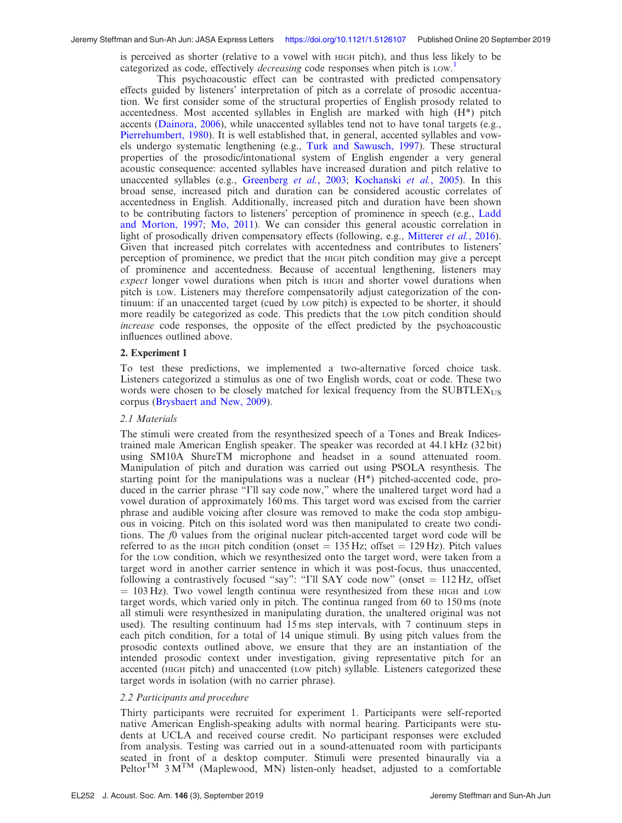<span id="page-1-0"></span>is perceived as shorter (relative to a vowel with HIGH pitch), and thus less likely to be categorized as code, effectively *decreasing* code responses when pitch is Low.<sup>[1](#page-5-0)</sup>

This psychoacoustic effect can be contrasted with predicted compensatory effects guided by listeners' interpretation of pitch as a correlate of prosodic accentuation. We first consider some of the structural properties of English prosody related to accentedness. Most accented syllables in English are marked with high (H\*) pitch accents ([Dainora, 2006](#page-6-0)), while unaccented syllables tend not to have tonal targets (e.g., [Pierrehumbert, 1980](#page-6-0)). It is well established that, in general, accented syllables and vowels undergo systematic lengthening (e.g., [Turk and Sawusch, 1997\)](#page-6-0). These structural properties of the prosodic/intonational system of English engender a very general acoustic consequence: accented syllables have increased duration and pitch relative to unaccented syllables (e.g., [Greenberg](#page-6-0) et al., 2003; [Kochanski](#page-6-0) et al., 2005). In this broad sense, increased pitch and duration can be considered acoustic correlates of accentedness in English. Additionally, increased pitch and duration have been shown to be contributing factors to listeners' perception of prominence in speech (e.g., [Ladd](#page-6-0) [and Morton, 1997;](#page-6-0) [Mo, 2011](#page-6-0)). We can consider this general acoustic correlation in light of prosodically driven compensatory effects (following, e.g., [Mitterer](#page-6-0) et al., 2016). Given that increased pitch correlates with accentedness and contributes to listeners' perception of prominence, we predict that the HIGH pitch condition may give a percept of prominence and accentedness. Because of accentual lengthening, listeners may expect longer vowel durations when pitch is HIGH and shorter vowel durations when pitch is LOW. Listeners may therefore compensatorily adjust categorization of the continuum: if an unaccented target (cued by LOW pitch) is expected to be shorter, it should more readily be categorized as code. This predicts that the LOW pitch condition should increase code responses, the opposite of the effect predicted by the psychoacoustic influences outlined above.

#### 2. Experiment 1

To test these predictions, we implemented a two-alternative forced choice task. Listeners categorized a stimulus as one of two English words, coat or code. These two words were chosen to be closely matched for lexical frequency from the SUBTLEX<sub>US</sub> corpus [\(Brysbaert and New, 2009](#page-6-0)).

#### 2.1 Materials

The stimuli were created from the resynthesized speech of a Tones and Break Indicestrained male American English speaker. The speaker was recorded at 44.1 kHz (32 bit) using SM10A ShureTM microphone and headset in a sound attenuated room. Manipulation of pitch and duration was carried out using PSOLA resynthesis. The starting point for the manipulations was a nuclear (H\*) pitched-accented code, produced in the carrier phrase "I'll say code now," where the unaltered target word had a vowel duration of approximately 160 ms. This target word was excised from the carrier phrase and audible voicing after closure was removed to make the coda stop ambiguous in voicing. Pitch on this isolated word was then manipulated to create two conditions. The  $f_0$  values from the original nuclear pitch-accented target word code will be referred to as the HIGH pitch condition (onset  $= 135 \text{ Hz}$ ; offset  $= 129 \text{ Hz}$ ). Pitch values for the LOW condition, which we resynthesized onto the target word, were taken from a target word in another carrier sentence in which it was post-focus, thus unaccented, following a contrastively focused "say": "I'll SAY code now" (onset  $= 112$  Hz, offset  $= 103$  Hz). Two vowel length continua were resynthesized from these HIGH and LOW target words, which varied only in pitch. The continua ranged from 60 to 150 ms (note all stimuli were resynthesized in manipulating duration, the unaltered original was not used). The resulting continuum had 15 ms step intervals, with 7 continuum steps in each pitch condition, for a total of 14 unique stimuli. By using pitch values from the prosodic contexts outlined above, we ensure that they are an instantiation of the intended prosodic context under investigation, giving representative pitch for an accented (HIGH pitch) and unaccented (LOW pitch) syllable. Listeners categorized these target words in isolation (with no carrier phrase).

# 2.2 Participants and procedure

Thirty participants were recruited for experiment 1. Participants were self-reported native American English-speaking adults with normal hearing. Participants were students at UCLA and received course credit. No participant responses were excluded from analysis. Testing was carried out in a sound-attenuated room with participants seated in front of a desktop computer. Stimuli were presented binaurally via a Peltor<sup>TM</sup> 3 M<sup>TM</sup> (Maplewood, MN) listen-only headset, adjusted to a comfortable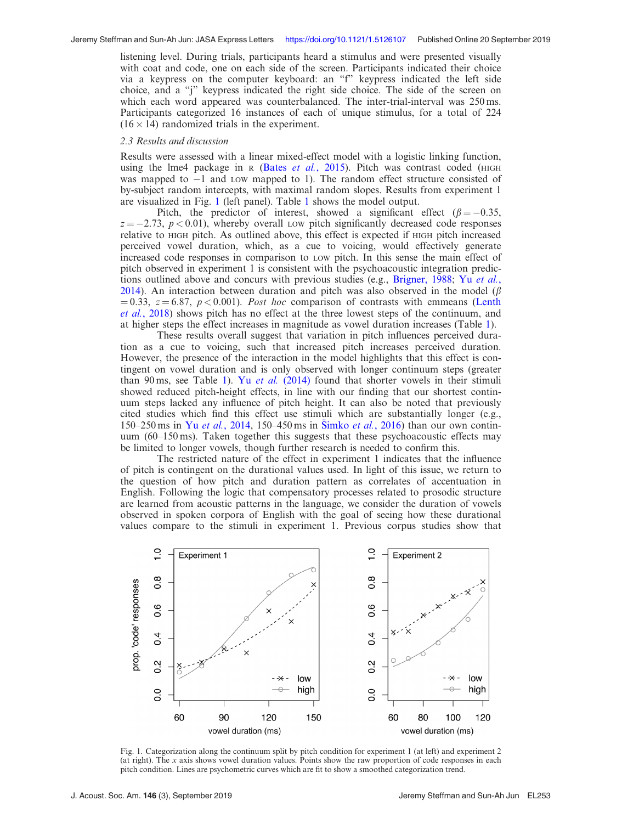<span id="page-2-0"></span>listening level. During trials, participants heard a stimulus and were presented visually with coat and code, one on each side of the screen. Participants indicated their choice via a keypress on the computer keyboard: an "f" keypress indicated the left side choice, and a "j" keypress indicated the right side choice. The side of the screen on which each word appeared was counterbalanced. The inter-trial-interval was 250 ms. Participants categorized 16 instances of each of unique stimulus, for a total of 224  $(16 \times 14)$  randomized trials in the experiment.

#### 2.3 Results and discussion

Results were assessed with a linear mixed-effect model with a logistic linking function, using the lme4 package in R (Bates *et al.*[, 2015\)](#page-5-0). Pitch was contrast coded (HIGH was mapped to  $-1$  and LOW mapped to 1). The random effect structure consisted of by-subject random intercepts, with maximal random slopes. Results from experiment 1 are visualized in Fig. 1 (left panel). Table [1](#page-3-0) shows the model output.

Pitch, the predictor of interest, showed a significant effect ( $\beta = -0.35$ ,  $z = -2.73$ ,  $p < 0.01$ ), whereby overall LOW pitch significantly decreased code responses relative to HIGH pitch. As outlined above, this effect is expected if HIGH pitch increased perceived vowel duration, which, as a cue to voicing, would effectively generate increased code responses in comparison to LOW pitch. In this sense the main effect of pitch observed in experiment 1 is consistent with the psychoacoustic integration predic-tions outlined above and concurs with previous studies (e.g., [Brigner, 1988](#page-6-0); Yu [et al.](#page-6-0), [2014\)](#page-6-0). An interaction between duration and pitch was also observed in the model ( $\beta$ )  $(0.33, z = 6.87, p < 0.001)$ . Post hoc comparison of contrasts with emmeans [\(Lenth](#page-6-0) et al.[, 2018\)](#page-6-0) shows pitch has no effect at the three lowest steps of the continuum, and at higher steps the effect increases in magnitude as vowel duration increases (Table [1](#page-3-0)).

These results overall suggest that variation in pitch influences perceived duration as a cue to voicing, such that increased pitch increases perceived duration. However, the presence of the interaction in the model highlights that this effect is contingent on vowel duration and is only observed with longer continuum steps (greater than 90 ms, see Table [1\)](#page-3-0). Yu *et al.* [\(2014\)](#page-6-0) found that shorter vowels in their stimuli showed reduced pitch-height effects, in line with our finding that our shortest continuum steps lacked any influence of pitch height. It can also be noted that previously cited studies which find this effect use stimuli which are substantially longer (e.g., 150–250 ms in Yu et al.[, 2014,](#page-6-0) 150–450 ms in Simko et al.[, 2016\)](#page-6-0) than our own continuum (60–150 ms). Taken together this suggests that these psychoacoustic effects may be limited to longer vowels, though further research is needed to confirm this.

The restricted nature of the effect in experiment 1 indicates that the influence of pitch is contingent on the durational values used. In light of this issue, we return to the question of how pitch and duration pattern as correlates of accentuation in English. Following the logic that compensatory processes related to prosodic structure are learned from acoustic patterns in the language, we consider the duration of vowels observed in spoken corpora of English with the goal of seeing how these durational values compare to the stimuli in experiment 1. Previous corpus studies show that



Fig. 1. Categorization along the continuum split by pitch condition for experiment 1 (at left) and experiment 2 (at right). The x axis shows vowel duration values. Points show the raw proportion of code responses in each pitch condition. Lines are psychometric curves which are fit to show a smoothed categorization trend.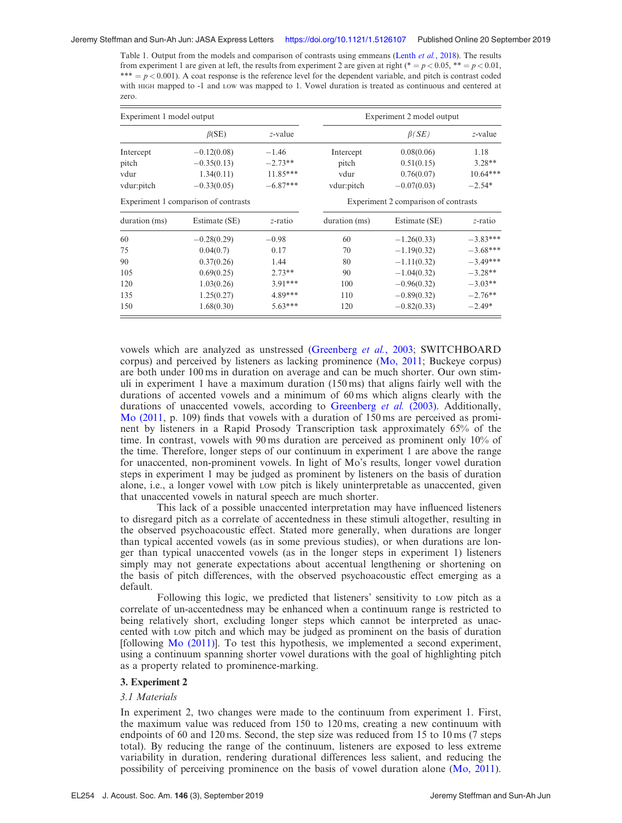<span id="page-3-0"></span>Table 1. Output from the models and comparison of contrasts using emmeans [\(Lenth](#page-6-0) et al., 2018). The results from experiment 1 are given at left, the results from experiment 2 are given at right (\* =  $p < 0.05$ , \*\* =  $p < 0.01$ , \*\*\*  $= p < 0.001$ ). A coat response is the reference level for the dependent variable, and pitch is contrast coded with HIGH mapped to -1 and LOW was mapped to 1. Vowel duration is treated as continuous and centered at zero.

| Experiment 1 model output            |               |            | Experiment 2 model output            |               |            |
|--------------------------------------|---------------|------------|--------------------------------------|---------------|------------|
|                                      | $\beta$ (SE)  | $z$ -value |                                      | $\beta(SE)$   | z-value    |
| Intercept                            | $-0.12(0.08)$ | $-1.46$    | Intercept                            | 0.08(0.06)    | 1.18       |
| pitch                                | $-0.35(0.13)$ | $-2.73**$  | pitch                                | 0.51(0.15)    | $3.28**$   |
| vdur                                 | 1.34(0.11)    | $11.85***$ | vdur                                 | 0.76(0.07)    | $10.64***$ |
| vdur:pitch                           | $-0.33(0.05)$ | $-6.87***$ | vdur:pitch                           | $-0.07(0.03)$ | $-2.54*$   |
| Experiment 1 comparison of contrasts |               |            | Experiment 2 comparison of contrasts |               |            |
| duration (ms)                        | Estimate (SE) | $z$ -ratio | duration (ms)                        | Estimate (SE) | $z$ -ratio |
| 60                                   | $-0.28(0.29)$ | $-0.98$    | 60                                   | $-1.26(0.33)$ | $-3.83***$ |
| 75                                   | 0.04(0.7)     | 0.17       | 70                                   | $-1.19(0.32)$ | $-3.68***$ |
| 90                                   | 0.37(0.26)    | 1.44       | 80                                   | $-1.11(0.32)$ | $-3.49***$ |
| 105                                  | 0.69(0.25)    | $2.73**$   | 90                                   | $-1.04(0.32)$ | $-3.28**$  |
| 120                                  | 1.03(0.26)    | $3.91***$  | 100                                  | $-0.96(0.32)$ | $-3.03**$  |
| 135                                  | 1.25(0.27)    | 4.89***    | 110                                  | $-0.89(0.32)$ | $-2.76**$  |
| 150                                  | 1.68(0.30)    | $5.63***$  | 120                                  | $-0.82(0.33)$ | $-2.49*$   |

vowels which are analyzed as unstressed ([Greenberg](#page-6-0) et al., 2003; SWITCHBOARD corpus) and perceived by listeners as lacking prominence  $(Mo, 2011; Buckeye$  $(Mo, 2011; Buckeye$  $(Mo, 2011; Buckeye$  corpus) are both under 100 ms in duration on average and can be much shorter. Our own stimuli in experiment 1 have a maximum duration (150 ms) that aligns fairly well with the durations of accented vowels and a minimum of 60 ms which aligns clearly with the durations of unaccented vowels, according to [Greenberg](#page-6-0) et al. (2003). Additionally, [Mo \(2011,](#page-6-0) p. 109) finds that vowels with a duration of 150 ms are perceived as prominent by listeners in a Rapid Prosody Transcription task approximately 65% of the time. In contrast, vowels with 90 ms duration are perceived as prominent only 10% of the time. Therefore, longer steps of our continuum in experiment 1 are above the range for unaccented, non-prominent vowels. In light of Mo's results, longer vowel duration steps in experiment 1 may be judged as prominent by listeners on the basis of duration alone, i.e., a longer vowel with LOW pitch is likely uninterpretable as unaccented, given that unaccented vowels in natural speech are much shorter.

This lack of a possible unaccented interpretation may have influenced listeners to disregard pitch as a correlate of accentedness in these stimuli altogether, resulting in the observed psychoacoustic effect. Stated more generally, when durations are longer than typical accented vowels (as in some previous studies), or when durations are longer than typical unaccented vowels (as in the longer steps in experiment 1) listeners simply may not generate expectations about accentual lengthening or shortening on the basis of pitch differences, with the observed psychoacoustic effect emerging as a default.

Following this logic, we predicted that listeners' sensitivity to LOW pitch as a correlate of un-accentedness may be enhanced when a continuum range is restricted to being relatively short, excluding longer steps which cannot be interpreted as unaccented with LOW pitch and which may be judged as prominent on the basis of duration [following [Mo \(2011\)](#page-6-0)]. To test this hypothesis, we implemented a second experiment, using a continuum spanning shorter vowel durations with the goal of highlighting pitch as a property related to prominence-marking.

#### 3. Experiment 2

#### 3.1 Materials

In experiment 2, two changes were made to the continuum from experiment 1. First, the maximum value was reduced from 150 to 120 ms, creating a new continuum with endpoints of 60 and 120 ms. Second, the step size was reduced from 15 to 10 ms (7 steps total). By reducing the range of the continuum, listeners are exposed to less extreme variability in duration, rendering durational differences less salient, and reducing the possibility of perceiving prominence on the basis of vowel duration alone ([Mo, 2011\)](#page-6-0).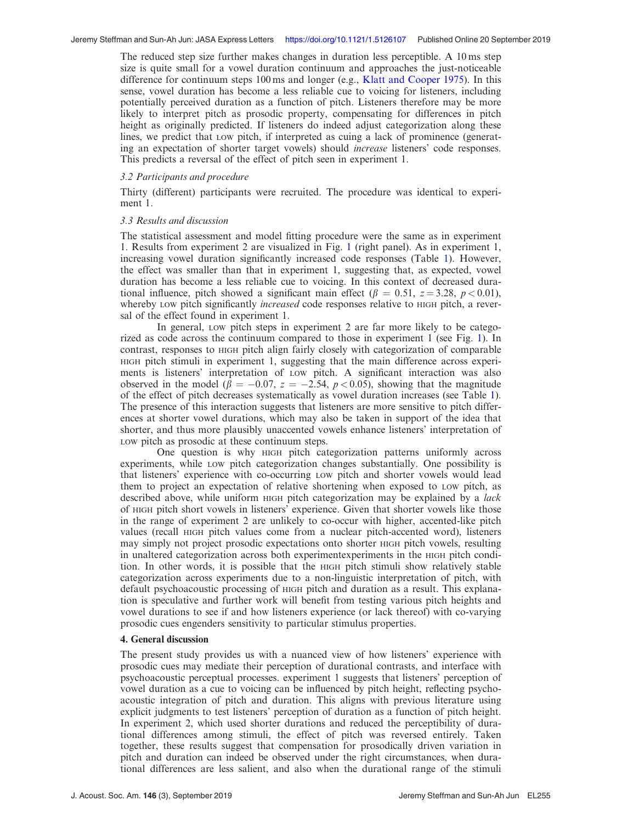The reduced step size further makes changes in duration less perceptible. A 10 ms step size is quite small for a vowel duration continuum and approaches the just-noticeable difference for continuum steps 100 ms and longer (e.g., [Klatt and Cooper 1975\)](#page-6-0). In this sense, vowel duration has become a less reliable cue to voicing for listeners, including potentially perceived duration as a function of pitch. Listeners therefore may be more likely to interpret pitch as prosodic property, compensating for differences in pitch height as originally predicted. If listeners do indeed adjust categorization along these lines, we predict that LOW pitch, if interpreted as cuing a lack of prominence (generating an expectation of shorter target vowels) should increase listeners' code responses. This predicts a reversal of the effect of pitch seen in experiment 1.

## 3.2 Participants and procedure

Thirty (different) participants were recruited. The procedure was identical to experiment 1.

#### 3.3 Results and discussion

The statistical assessment and model fitting procedure were the same as in experiment 1. Results from experiment 2 are visualized in Fig. [1](#page-2-0) (right panel). As in experiment 1, increasing vowel duration significantly increased code responses (Table [1\)](#page-3-0). However, the effect was smaller than that in experiment 1, suggesting that, as expected, vowel duration has become a less reliable cue to voicing. In this context of decreased durational influence, pitch showed a significant main effect ( $\beta = 0.51$ ,  $z = 3.28$ ,  $p < 0.01$ ), whereby LOW pitch significantly *increased* code responses relative to HIGH pitch, a reversal of the effect found in experiment 1.

In general, LOW pitch steps in experiment 2 are far more likely to be categorized as code across the continuum compared to those in experiment 1 (see Fig. [1\)](#page-2-0). In contrast, responses to HIGH pitch align fairly closely with categorization of comparable HIGH pitch stimuli in experiment 1, suggesting that the main difference across experiments is listeners' interpretation of LOW pitch. A significant interaction was also observed in the model ( $\vec{\beta} = -0.07$ ,  $z = -2.54$ ,  $p < 0.05$ ), showing that the magnitude of the effect of pitch decreases systematically as vowel duration increases (see Table [1\)](#page-3-0). The presence of this interaction suggests that listeners are more sensitive to pitch differences at shorter vowel durations, which may also be taken in support of the idea that shorter, and thus more plausibly unaccented vowels enhance listeners' interpretation of LOW pitch as prosodic at these continuum steps.

One question is why HIGH pitch categorization patterns uniformly across experiments, while LOW pitch categorization changes substantially. One possibility is that listeners' experience with co-occurring LOW pitch and shorter vowels would lead them to project an expectation of relative shortening when exposed to LOW pitch, as described above, while uniform HIGH pitch categorization may be explained by a *lack* of HIGH pitch short vowels in listeners' experience. Given that shorter vowels like those in the range of experiment 2 are unlikely to co-occur with higher, accented-like pitch values (recall HIGH pitch values come from a nuclear pitch-accented word), listeners may simply not project prosodic expectations onto shorter HIGH pitch vowels, resulting in unaltered categorization across both experimentexperiments in the HIGH pitch condition. In other words, it is possible that the HIGH pitch stimuli show relatively stable categorization across experiments due to a non-linguistic interpretation of pitch, with default psychoacoustic processing of HIGH pitch and duration as a result. This explanation is speculative and further work will benefit from testing various pitch heights and vowel durations to see if and how listeners experience (or lack thereof) with co-varying prosodic cues engenders sensitivity to particular stimulus properties.

#### 4. General discussion

The present study provides us with a nuanced view of how listeners' experience with prosodic cues may mediate their perception of durational contrasts, and interface with psychoacoustic perceptual processes. experiment 1 suggests that listeners' perception of vowel duration as a cue to voicing can be influenced by pitch height, reflecting psychoacoustic integration of pitch and duration. This aligns with previous literature using explicit judgments to test listeners' perception of duration as a function of pitch height. In experiment 2, which used shorter durations and reduced the perceptibility of durational differences among stimuli, the effect of pitch was reversed entirely. Taken together, these results suggest that compensation for prosodically driven variation in pitch and duration can indeed be observed under the right circumstances, when durational differences are less salient, and also when the durational range of the stimuli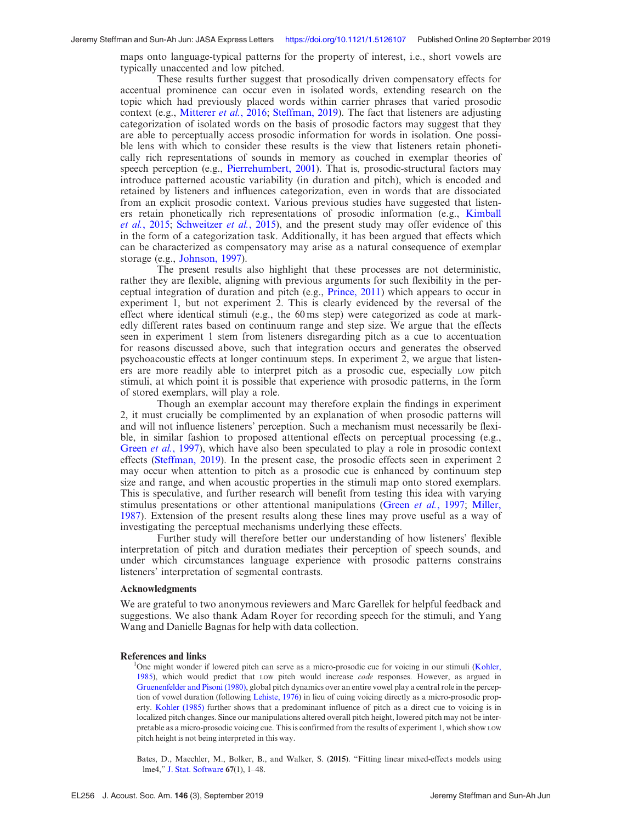<span id="page-5-0"></span>maps onto language-typical patterns for the property of interest, i.e., short vowels are typically unaccented and low pitched.

These results further suggest that prosodically driven compensatory effects for accentual prominence can occur even in isolated words, extending research on the topic which had previously placed words within carrier phrases that varied prosodic context (e.g., [Mitterer](#page-6-0) *et al.*, 2016; [Steffman, 2019\)](#page-6-0). The fact that listeners are adjusting categorization of isolated words on the basis of prosodic factors may suggest that they are able to perceptually access prosodic information for words in isolation. One possible lens with which to consider these results is the view that listeners retain phonetically rich representations of sounds in memory as couched in exemplar theories of speech perception (e.g., [Pierrehumbert, 2001\)](#page-6-0). That is, prosodic-structural factors may introduce patterned acoustic variability (in duration and pitch), which is encoded and retained by listeners and influences categorization, even in words that are dissociated from an explicit prosodic context. Various previous studies have suggested that listeners retain phonetically rich representations of prosodic information (e.g., [Kimball](#page-6-0) et al.[, 2015](#page-6-0); [Schweitzer](#page-6-0) et al., 2015), and the present study may offer evidence of this in the form of a categorization task. Additionally, it has been argued that effects which can be characterized as compensatory may arise as a natural consequence of exemplar storage (e.g., [Johnson, 1997\)](#page-6-0).

The present results also highlight that these processes are not deterministic, rather they are flexible, aligning with previous arguments for such flexibility in the perceptual integration of duration and pitch (e.g., [Prince, 2011](#page-6-0)) which appears to occur in experiment 1, but not experiment 2. This is clearly evidenced by the reversal of the effect where identical stimuli (e.g., the 60 ms step) were categorized as code at markedly different rates based on continuum range and step size. We argue that the effects seen in experiment 1 stem from listeners disregarding pitch as a cue to accentuation for reasons discussed above, such that integration occurs and generates the observed psychoacoustic effects at longer continuum steps. In experiment 2, we argue that listeners are more readily able to interpret pitch as a prosodic cue, especially LOW pitch stimuli, at which point it is possible that experience with prosodic patterns, in the form of stored exemplars, will play a role.

Though an exemplar account may therefore explain the findings in experiment 2, it must crucially be complimented by an explanation of when prosodic patterns will and will not influence listeners' perception. Such a mechanism must necessarily be flexible, in similar fashion to proposed attentional effects on perceptual processing (e.g., Green *et al.*[, 1997](#page-6-0)), which have also been speculated to play a role in prosodic context effects [\(Steffman, 2019](#page-6-0)). In the present case, the prosodic effects seen in experiment 2 may occur when attention to pitch as a prosodic cue is enhanced by continuum step size and range, and when acoustic properties in the stimuli map onto stored exemplars. This is speculative, and further research will benefit from testing this idea with varying stimulus presentations or other attentional manipulations (Green *et al.*[, 1997](#page-6-0); [Miller,](#page-6-0) [1987\)](#page-6-0). Extension of the present results along these lines may prove useful as a way of investigating the perceptual mechanisms underlying these effects.

Further study will therefore better our understanding of how listeners' flexible interpretation of pitch and duration mediates their perception of speech sounds, and under which circumstances language experience with prosodic patterns constrains listeners' interpretation of segmental contrasts.

#### Acknowledgments

We are grateful to two anonymous reviewers and Marc Garellek for helpful feedback and suggestions. We also thank Adam Royer for recording speech for the stimuli, and Yang Wang and Danielle Bagnas for help with data collection.

## References and links

<sup>1</sup>One might wonder if lowered pitch can serve as a micro-prosodic cue for voicing in our stimuli [\(Kohler,](#page-6-0) [1985](#page-6-0)), which would predict that LOW pitch would increase *code* responses. However, as argued in [Gruenenfelder and Pisoni \(1980\)](#page-6-0), global pitch dynamics over an entire vowel play a central role in the perception of vowel duration (following [Lehiste, 1976](#page-6-0)) in lieu of cuing voicing directly as a micro-prosodic property. [Kohler \(1985\)](#page-6-0) further shows that a predominant influence of pitch as a direct cue to voicing is in localized pitch changes. Since our manipulations altered overall pitch height, lowered pitch may not be interpretable as a micro-prosodic voicing cue. This is confirmed from the results of experiment 1, which show LOW pitch height is not being interpreted in this way.

Bates, D., Maechler, M., Bolker, B., and Walker, S. (2015). "Fitting linear mixed-effects models using lme4," [J. Stat. Software](https://doi.org/10.18637/jss.v067.i01) 67(1), 1–48.